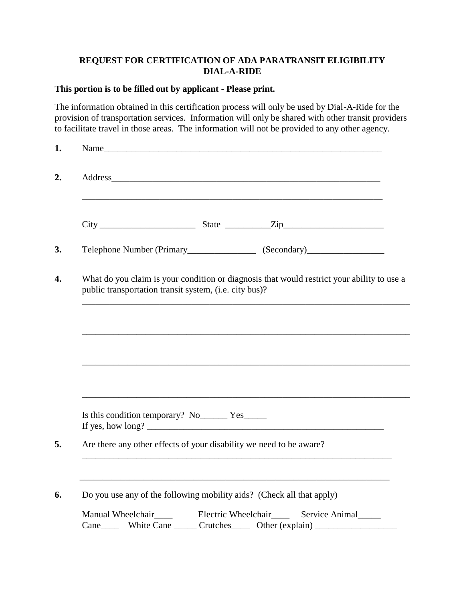# **REQUEST FOR CERTIFICATION OF ADA PARATRANSIT ELIGIBILITY DIAL-A-RIDE**

### **This portion is to be filled out by applicant - Please print.**

The information obtained in this certification process will only be used by Dial-A-Ride for the provision of transportation services. Information will only be shared with other transit providers to facilitate travel in those areas. The information will not be provided to any other agency.

| $City$ $City$ $State$ $Zip$<br>Telephone Number (Primary______________________ (Secondary)_____________________<br>What do you claim is your condition or diagnosis that would restrict your ability to use a<br>public transportation transit system, (i.e. city bus)? |  |
|-------------------------------------------------------------------------------------------------------------------------------------------------------------------------------------------------------------------------------------------------------------------------|--|
|                                                                                                                                                                                                                                                                         |  |
|                                                                                                                                                                                                                                                                         |  |
|                                                                                                                                                                                                                                                                         |  |
|                                                                                                                                                                                                                                                                         |  |
|                                                                                                                                                                                                                                                                         |  |
|                                                                                                                                                                                                                                                                         |  |
|                                                                                                                                                                                                                                                                         |  |
|                                                                                                                                                                                                                                                                         |  |
| Is this condition temporary? No ________ Yes_______                                                                                                                                                                                                                     |  |
| Are there any other effects of your disability we need to be aware?                                                                                                                                                                                                     |  |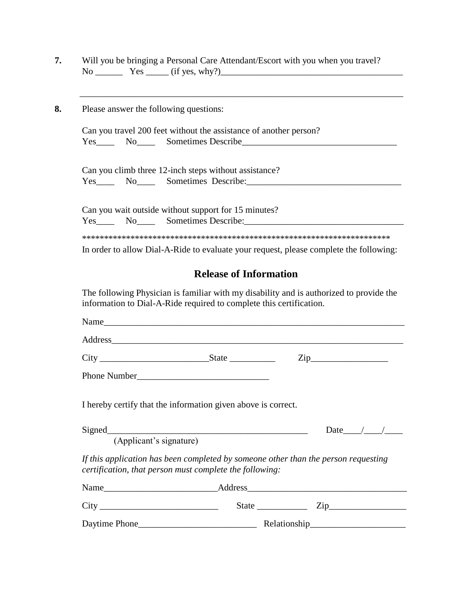|  | Will you be bringing a Personal Care Attendant/Escort with you when you travel? |  |
|--|---------------------------------------------------------------------------------|--|
|  | $Yes \_\_ (if yes, why?)$                                                       |  |

 $\overline{\phantom{a}}$  , and the contribution of the contribution of the contribution of the contribution of the contribution of the contribution of the contribution of the contribution of the contribution of the contribution of the

**8.** Please answer the following questions:

Can you travel 200 feet without the assistance of another person? Yes\_\_\_\_ No\_\_\_\_ Sometimes Describe\_\_\_\_\_\_\_\_\_\_\_\_\_\_\_\_\_\_\_\_\_\_\_\_\_\_\_\_\_\_\_\_\_\_

Can you climb three 12-inch steps without assistance? Yes\_\_\_\_ No\_\_\_\_ Sometimes Describe:\_\_\_\_\_\_\_\_\_\_\_\_\_\_\_\_\_\_\_\_\_\_\_\_\_\_\_\_\_\_\_\_\_\_

Can you wait outside without support for 15 minutes? Yes\_\_\_\_ No\_\_\_\_ Sometimes Describe:\_\_\_\_\_\_\_\_\_\_\_\_\_\_\_\_\_\_\_\_\_\_\_\_\_\_\_\_\_\_\_\_\_\_\_ \*\*\*\*\*\*\*\*\*\*\*\*\*\*\*\*\*\*\*\*\*\*\*\*\*\*\*\*\*\*\*\*\*\*\*\*\*\*\*\*\*\*\*\*\*\*\*\*\*\*\*\*\*\*\*\*\*\*\*\*\*\*\*\*\*\*\*\*\*\* In order to allow Dial-A-Ride to evaluate your request, please complete the following:

## **Release of Information**

The following Physician is familiar with my disability and is authorized to provide the information to Dial-A-Ride required to complete this certification.

|                         | I hereby certify that the information given above is correct. |                                                                                    |
|-------------------------|---------------------------------------------------------------|------------------------------------------------------------------------------------|
| (Applicant's signature) |                                                               | Date $\_\_\_\_\_\_\_\_\_\_\$                                                       |
|                         | certification, that person must complete the following:       | If this application has been completed by someone other than the person requesting |
|                         |                                                               |                                                                                    |
|                         |                                                               | State $\frac{\text{Zip}}{\text{Zip}}$                                              |
|                         |                                                               |                                                                                    |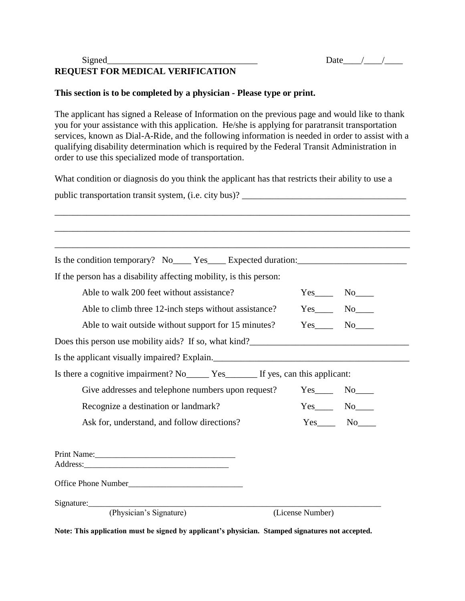# $Signal$  Date  $\frac{Date}{2}$ **REQUEST FOR MEDICAL VERIFICATION**

### **This section is to be completed by a physician - Please type or print.**

The applicant has signed a Release of Information on the previous page and would like to thank you for your assistance with this application. He/she is applying for paratransit transportation services, known as Dial-A-Ride, and the following information is needed in order to assist with a qualifying disability determination which is required by the Federal Transit Administration in order to use this specialized mode of transportation.

What condition or diagnosis do you think the applicant has that restricts their ability to use a

| public transportation transit system, (i.e. city bus)?                                               |                  |               |  |  |  |
|------------------------------------------------------------------------------------------------------|------------------|---------------|--|--|--|
|                                                                                                      |                  |               |  |  |  |
|                                                                                                      |                  |               |  |  |  |
|                                                                                                      |                  |               |  |  |  |
| Is the condition temporary? No _______ Yes ______ Expected duration: _______________________________ |                  |               |  |  |  |
| If the person has a disability affecting mobility, is this person:                                   |                  |               |  |  |  |
| Able to walk 200 feet without assistance?                                                            |                  | $Yes$ No $No$ |  |  |  |
| Able to climb three 12-inch steps without assistance?                                                |                  | $Yes$ No $No$ |  |  |  |
| Able to wait outside without support for 15 minutes?                                                 |                  | $Yes$ No      |  |  |  |
| Does this person use mobility aids? If so, what kind?                                                |                  |               |  |  |  |
| Is the applicant visually impaired? Explain.                                                         |                  |               |  |  |  |
| Is there a cognitive impairment? No ________ Yes __________ If yes, can this applicant:              |                  |               |  |  |  |
| Give addresses and telephone numbers upon request?                                                   |                  | $Yes$ No $No$ |  |  |  |
| Recognize a destination or landmark?                                                                 |                  |               |  |  |  |
| Ask for, understand, and follow directions?                                                          |                  | $Yes$ No      |  |  |  |
|                                                                                                      |                  |               |  |  |  |
|                                                                                                      |                  |               |  |  |  |
|                                                                                                      |                  |               |  |  |  |
| Signature: (Physician's Signature)                                                                   |                  |               |  |  |  |
|                                                                                                      | (License Number) |               |  |  |  |

**Note: This application must be signed by applicant's physician. Stamped signatures not accepted.**